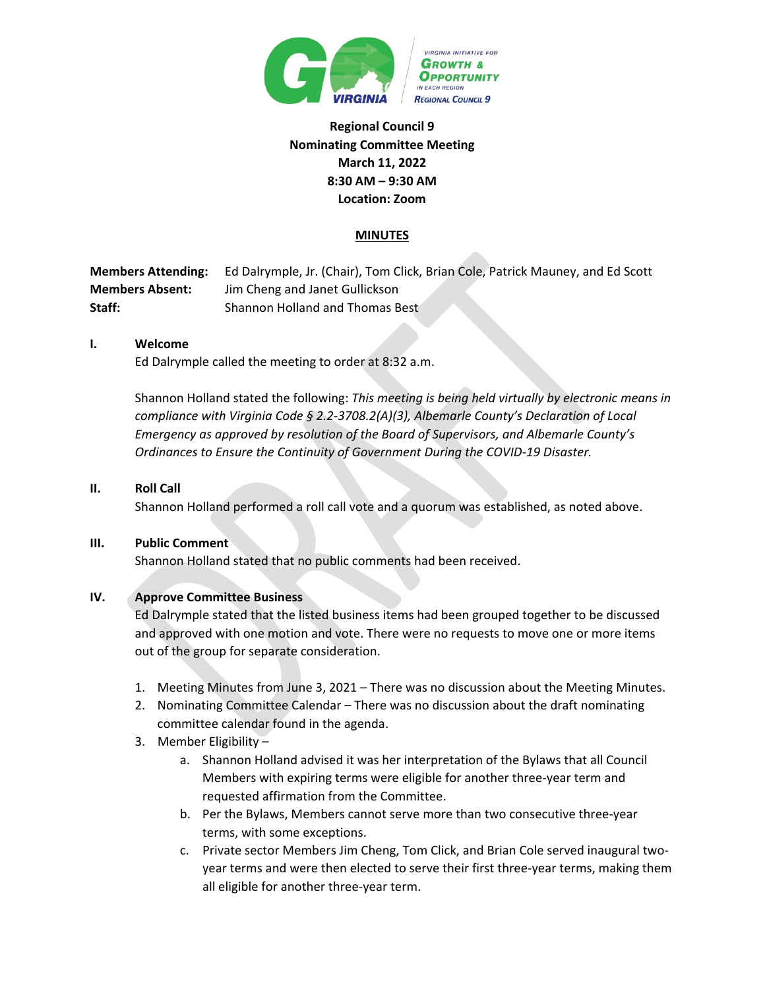

# **Regional Council 9 Nominating Committee Meeting March 11, 2022 8:30 AM – 9:30 AM Location: Zoom**

## **MINUTES**

**Members Attending:** Ed Dalrymple, Jr. (Chair), Tom Click, Brian Cole, Patrick Mauney, and Ed Scott **Members Absent:** Jim Cheng and Janet Gullickson **Staff:** Shannon Holland and Thomas Best

#### **I. Welcome**

Ed Dalrymple called the meeting to order at 8:32 a.m.

Shannon Holland stated the following: *This meeting is being held virtually by electronic means in compliance with Virginia Code § 2.2-3708.2(A)(3), Albemarle County's Declaration of Local Emergency as approved by resolution of the Board of Supervisors, and Albemarle County's Ordinances to Ensure the Continuity of Government During the COVID-19 Disaster.*

#### **II. Roll Call**

Shannon Holland performed a roll call vote and a quorum was established, as noted above.

#### **III. Public Comment**

Shannon Holland stated that no public comments had been received.

#### **IV. Approve Committee Business**

Ed Dalrymple stated that the listed business items had been grouped together to be discussed and approved with one motion and vote. There were no requests to move one or more items out of the group for separate consideration.

- 1. Meeting Minutes from June 3, 2021 There was no discussion about the Meeting Minutes.
- 2. Nominating Committee Calendar There was no discussion about the draft nominating committee calendar found in the agenda.
- 3. Member Eligibility
	- a. Shannon Holland advised it was her interpretation of the Bylaws that all Council Members with expiring terms were eligible for another three-year term and requested affirmation from the Committee.
	- b. Per the Bylaws, Members cannot serve more than two consecutive three-year terms, with some exceptions.
	- c. Private sector Members Jim Cheng, Tom Click, and Brian Cole served inaugural twoyear terms and were then elected to serve their first three-year terms, making them all eligible for another three-year term.